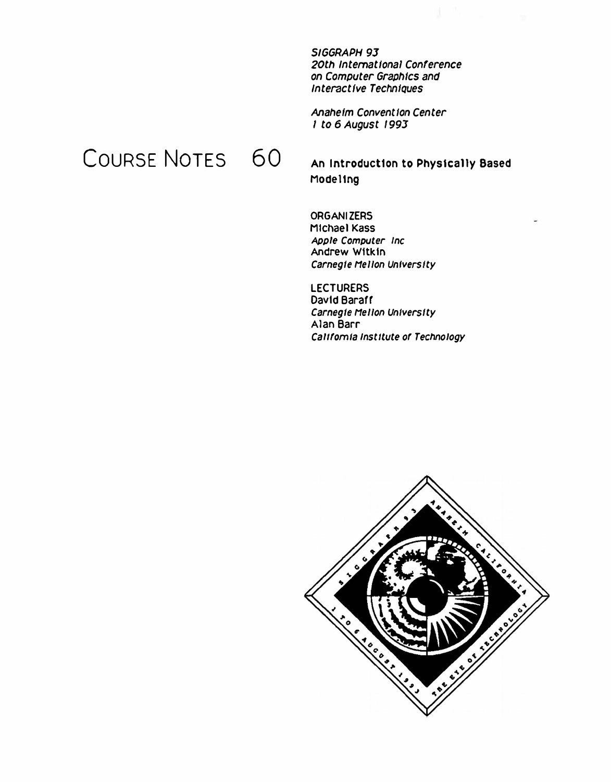*SIGGRAPH 93 20th International Conference on Computer Graphics and Interactive TechnlQues* 

*Anaheim Convention Center*  I *to 6 August 1993* 

## COURSE NOTES 60

**An Introduction to Physically Based Modeling** 

**ORGANIZERS Michael Kass**  *Apple Computer Inc*  **Andrew Wilkin**  *Carnegie He/Ion University* 

**LECTURERS**  David Baraff *Carnegie He/Ion University*  **Alan Barr California Institute of Technology** 

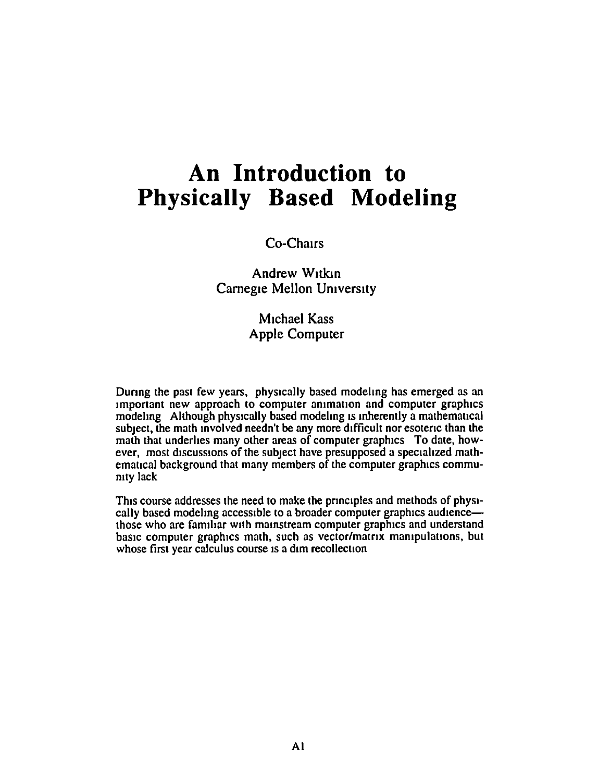#### **An Introduction to Physically Based Modeling**

Co-Chairs

**Andrew Witkin** Carnegie Mellon University

> Michael Kass Apple Computer

During the past few years, physically based modeling has emerged as an important new approach to computer animation and computer graphics modeling Although physically based modeling is inherently a mathematical subject, the math mvolved needn't be any more difficult nor esotenc than the math that underlies many other areas of computer graphics To date, however, most discussions of the subject have presupposed a specialized mathematical background that many members of the computer graphics commumty lack

This course addresses the need to make the principles and methods of physically based modeling accessible to a broader computer graphics audiencethose who are familiar with mainstream computer graphics and understand basic computer graphics math, such as vector/matrix manipulations, but whose first year calculus course is a dim recollection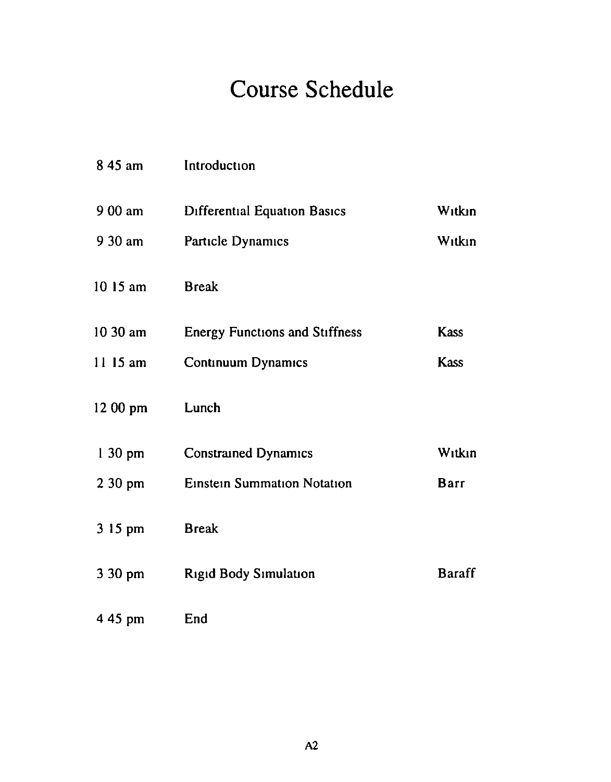# **Course Schedule**

| 8 45 am           | Introduction                          |               |
|-------------------|---------------------------------------|---------------|
| 9 00 am           | <b>Differential Equation Basics</b>   | Witkin        |
| 9 30 am           | Particle Dynamics                     | Witkin        |
| 10 15 am          | <b>Break</b>                          |               |
| $1030$ am         | <b>Energy Functions and Stiffness</b> | <b>Kass</b>   |
| $1115$ am         | <b>Continuum Dynamics</b>             | <b>Kass</b>   |
| $1200$ pm         | Lunch                                 |               |
| $130 \text{ pm}$  | <b>Constrained Dynamics</b>           | Witkin        |
| $230 \text{ pm}$  | <b>Einstein Summation Notation</b>    | Barr          |
| 3 15 pm           | <b>Break</b>                          |               |
| $3.30 \text{ pm}$ | <b>Rigid Body Simulation</b>          | <b>Baraff</b> |
| 4 45 pm           | End                                   |               |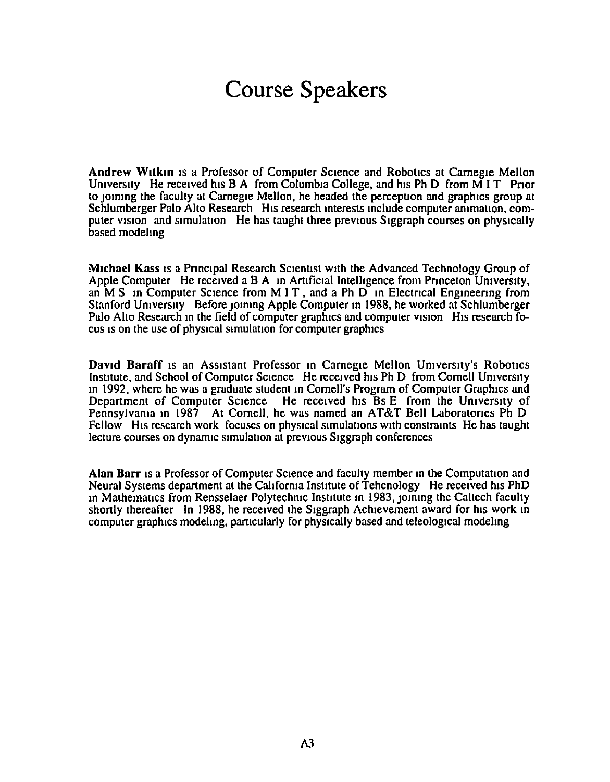### Course Speakers

Andrew Witkin is a Professor of Computer Science and Robotics at Carnegie Mellon University He received his B A from Columbia College, and his Ph D from  $\overline{M}$  I T Prior to joining the faculty at Carnegie Mellon, he headed the perception and graphics group at Schlumberger Palo Alto Research His research interests include computer animation, computer vision and simulation He has taught three previous Siggraph courses on physically based modeling

Michael Kass is a Principal Research Scientist with the Advanced Technology Group of Apple Computer He received a B A in Artificial Intelligence from Princeton University, an M S in Computer Science from M I T, and a Ph  $D<sup>th</sup>$  in Electrical Engineering from Stanford University Before joining Apple Computer in 1988, he worked at Schlumberger Palo Alto Research in the field of computer graphics and computer vision His research focus is on the use of physical simulation for computer graphics

David Baraff is an Assistant Professor in Carnegie Mellon University's Robotics Institute, and School of Computer Science He received his Ph D from Cornell University in 1992, where he was a graduate student in Cornell's Program of Computer Graphics and Department of Computer Science He received his Bs E from the University of Pennsylvama in 1987 At Cornell, he was named an AT&T Bell Laboratories Ph D Fellow His research work focuses on physical simulations with constraints He has taught lecture courses on dynamic simulation at previous Siggraph conferences

Alan Barr is a Professor of Computer Science and faculty member in the Computation and Neural Systems department at the California Institute of Tehenology He received his PhD m Mathematics from Rensselaer Polytechmc Institute m 1983, JOmmg the Caltech faculty shortly thereafter In 1988, he received the Siggraph Achievement award for his work in computer graphics modeling, particularly for physically based and teleological modeling